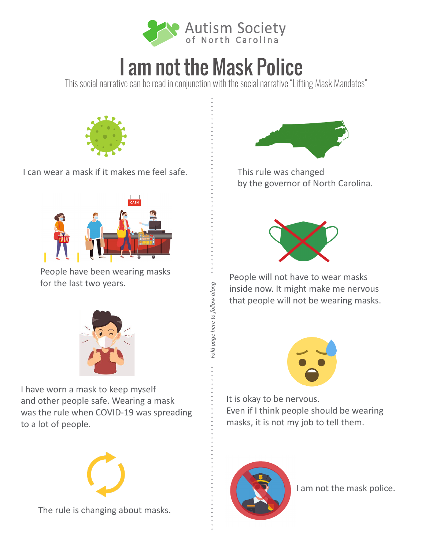

## I am not the Mask Police

This social narrative can be read in conjunction with the social narrative "Lifting Mask Mandates"

*Fold page here to follow along*

Fold page here to follow along



I can wear a mask if it makes me feel safe.



People have been wearing masks for the last two years.



I have worn a mask to keep myself and other people safe. Wearing a mask was the rule when COVID-19 was spreading to a lot of people.



The rule is changing about masks.



This rule was changed by the governor of North Carolina.



People will not have to wear masks inside now. It might make me nervous that people will not be wearing masks.



It is okay to be nervous. Even if I think people should be wearing masks, it is not my job to tell them.



I am not the mask police.